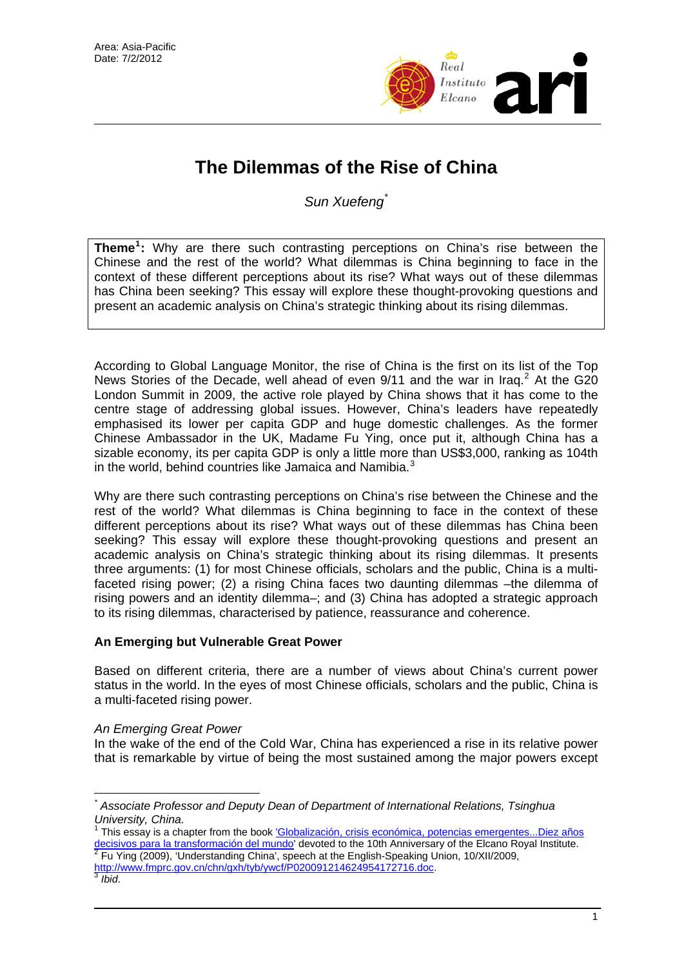

# **The Dilemmas of the Rise of China**

*Sun Xuefeng*[\\*](#page-0-0)

**Theme[1](#page-0-1) :** Why are there such contrasting perceptions on China's rise between the Chinese and the rest of the world? What dilemmas is China beginning to face in the context of these different perceptions about its rise? What ways out of these dilemmas has China been seeking? This essay will explore these thought-provoking questions and present an academic analysis on China's strategic thinking about its rising dilemmas.

According to Global Language Monitor, the rise of China is the first on its list of the Top News Stories of the Decade, well ahead of even  $9/11$  and the war in Iraq.<sup>[2](#page-0-2)</sup> At the G20 London Summit in 2009, the active role played by China shows that it has come to the centre stage of addressing global issues. However, China's leaders have repeatedly emphasised its lower per capita GDP and huge domestic challenges. As the former Chinese Ambassador in the UK, Madame Fu Ying, once put it, although China has a sizable economy, its per capita GDP is only a little more than US\$3,000, ranking as 104th in the world, behind countries like Jamaica and Namibia.<sup>[3](#page-0-3)</sup>

Why are there such contrasting perceptions on China's rise between the Chinese and the rest of the world? What dilemmas is China beginning to face in the context of these different perceptions about its rise? What ways out of these dilemmas has China been seeking? This essay will explore these thought-provoking questions and present an academic analysis on China's strategic thinking about its rising dilemmas. It presents three arguments: (1) for most Chinese officials, scholars and the public, China is a multifaceted rising power; (2) a rising China faces two daunting dilemmas –the dilemma of rising powers and an identity dilemma–; and (3) China has adopted a strategic approach to its rising dilemmas, characterised by patience, reassurance and coherence.

# **An Emerging but Vulnerable Great Power**

Based on different criteria, there are a number of views about China's current power status in the world. In the eyes of most Chinese officials, scholars and the public, China is a multi-faceted rising power.

# *An Emerging Great Power*

In the wake of the end of the Cold War, China has experienced a rise in its relative power that is remarkable by virtue of being the most sustained among the major powers except

 $\overline{a}$ 

<span id="page-0-0"></span>*<sup>\*</sup> Associate Professor and Deputy Dean of Department of International Relations, Tsinghua University, China.* 

<span id="page-0-1"></span><sup>1</sup> This essay is a chapter from the book ['Globalización, crisis económica, potencias emergentes...Diez años](http://www.realinstitutoelcano.org/wps/portal/rielcano/Pub_LibrosElcano)  [decisivos para la transformación del mundo](http://www.realinstitutoelcano.org/wps/portal/rielcano/Pub_LibrosElcano)<sup>'</sup> devoted to the 10th Anniversary of the Elcano Royal Institute.<br><sup>[2](http://www.realinstitutoelcano.org/wps/portal/rielcano/Pub_LibrosElcano)</sup> Eu Ving (2000), 'Understanding Chino', apesab et the English Specking Union, 10/YU/2000. Fu Ying (2009), 'Understanding China', speech at the English-Speaking Union, 10/XII/2009, [http://www.fmprc.gov.cn/chn/gxh/tyb/ywcf/P020091214624954172716.doc.](http://www.fmprc.gov.cn/chn/gxh/tyb/ywcf/P020091214624954172716.doc) [3](http://www.fmprc.gov.cn/chn/gxh/tyb/ywcf/P020091214624954172716.doc) *Ibid*.

<span id="page-0-3"></span><span id="page-0-2"></span>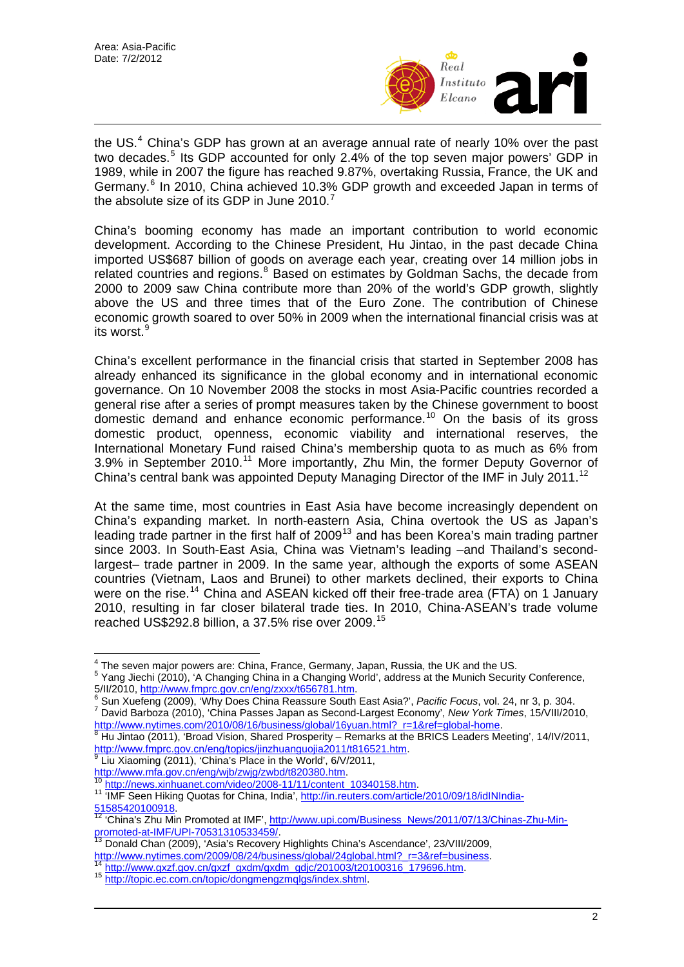

the US. $4$  China's GDP has grown at an average annual rate of nearly 10% over the past two decades.<sup>[5](#page-1-1)</sup> Its GDP accounted for only 2.4% of the top seven major powers' GDP in 1989, while in 2007 the figure has reached 9.87%, overtaking Russia, France, the UK and Germany.<sup>[6](#page-1-2)</sup> In 2010, China achieved 10.3% GDP growth and exceeded Japan in terms of the absolute size of its GDP in June 2010.<sup>[7](#page-1-3)</sup>

China's booming economy has made an important contribution to world economic development. According to the Chinese President, Hu Jintao, in the past decade China imported US\$687 billion of goods on average each year, creating over 14 million jobs in related countries and regions.<sup>[8](#page-1-4)</sup> Based on estimates by Goldman Sachs, the decade from 2000 to 2009 saw China contribute more than 20% of the world's GDP growth, slightly above the US and three times that of the Euro Zone. The contribution of Chinese economic growth soared to over 50% in 2009 when the international financial crisis was at its worst.<sup>[9](#page-1-5)</sup>

China's excellent performance in the financial crisis that started in September 2008 has already enhanced its significance in the global economy and in international economic governance. On 10 November 2008 the stocks in most Asia-Pacific countries recorded a general rise after a series of prompt measures taken by the Chinese government to boost domestic demand and enhance economic performance.[10](#page-1-6) On the basis of its gross domestic product, openness, economic viability and international reserves, the International Monetary Fund raised China's membership quota to as much as 6% from 3.9% in September 2010.<sup>[11](#page-1-7)</sup> More importantly, Zhu Min, the former Deputy Governor of China's central bank was appointed Deputy Managing Director of the IMF in July 2011.<sup>[12](#page-1-8)</sup>

At the same time, most countries in East Asia have become increasingly dependent on China's expanding market. In north-eastern Asia, China overtook the US as Japan's leading trade partner in the first half of 2009[13](#page-1-9) and has been Korea's main trading partner since 2003. In South-East Asia, China was Vietnam's leading –and Thailand's secondlargest– trade partner in 2009. In the same year, although the exports of some ASEAN countries (Vietnam, Laos and Brunei) to other markets declined, their exports to China were on the rise.<sup>[14](#page-1-10)</sup> China and ASEAN kicked off their free-trade area (FTA) on 1 January 2010, resulting in far closer bilateral trade ties. In 2010, China-ASEAN's trade volume reached US\$292.8 billion, a 37.5% rise over 2009.[15](#page-1-11)

<span id="page-1-5"></span> $^9$  Liu Xiaoming (2011), 'China's Place in the World', 6/V/2011, http://www.mfa.gov.cn/eng/wjb/zwjg/zwbd/t820380.htm.

The seven major powers are: China, France, Germany, Japan, Russia, the UK and the US.

<span id="page-1-1"></span><span id="page-1-0"></span><sup>&</sup>lt;sup>5</sup> Yang Jiechi (2010), 'A Changing China in a Changing World', address at the Munich Security Conference, 5/II/2010, <u>http://www.fmprc.gov.cn/eng/zxxx/t656781.htm</u>.<br><sup>6</sup> Sup Yugfong (2000), <sup>4</sup>Why.Dees China Beassure South

<span id="page-1-3"></span><span id="page-1-2"></span><sup>&</sup>lt;sup>o</sup> Sun Xuefeng (2009), 'Why Does China Reassure South East Asia?', *Pacific Focus*, vol. 24, nr 3, p. 304.<br><sup>7</sup> David Barbaza (2010), 'China Bassas, Japan as Sassad Largest Essasmy', Naw Yark Times, 15A/III/201 David Barboza (2010), 'China Passes Japan as Second-Largest Economy', *New York Times*, 15/VIII/2010, [http://www.nytimes.com/2010/08/16/business/global/16yuan.html?\\_r=1&ref=global-home](http://www.nytimes.com/2010/08/16/business/global/16yuan.html?_r=1&ref=global-home).

<span id="page-1-4"></span>Hu Jintao (2011), 'Broad Vision, Shared Prosperity – Remarks at the BRICS Leaders Meeting', 14/IV/2011, <http://www.fmprc.gov.cn/eng/topics/jinzhuanguojia2011/t816521.htm>.<br>[9](http://www.fmprc.gov.cn/eng/topics/jinzhuanguojia2011/t816521.htm) Liu Xiooming (0044) (OU) = C

<span id="page-1-7"></span><span id="page-1-6"></span> $\frac{10 \text{ http://news.xinhuanet.com/video/2008-11/11/content\_10340158.htm}}{10 \text{ MHz}$  $\frac{10 \text{ http://news.xinhuanet.com/video/2008-11/11/content\_10340158.htm}}{10 \text{ MHz}$  $\frac{10 \text{ http://news.xinhuanet.com/video/2008-11/11/content\_10340158.htm}}{10 \text{ MHz}$  $\frac{10 \text{ http://news.xinhuanet.com/video/2008-11/11/content\_10340158.htm}}{10 \text{ MHz}$ <br>  $\frac{11 \text{ MHz} - 1}{10 \text{ MHz} - 10 \text{ y}}$  and Hiking Quotas for China, India', http://in.reuters.com/article/2010/09/18/idINIndia-<br>
12 'China's Zhu Min Promoted of IME', http:/

<span id="page-1-8"></span><sup>&</sup>lt;sup>12</sup> 'China'[s Zhu Mi](http://in.reuters.com/article/2010/09/18/idINIndia-51585420100918)n Promoted at IMF', http://www.upi.com/Business\_News/2011/07/13/Chinas-Zhu-Min-<br>promoted-at-IMF/UPI-70531310533459/<br><sup>13</sup> Depeld Chap (2000), (Asista Ball Chinas-Chinas-Chinas-Chinas-Chinas-Chinas-Chinas

<span id="page-1-9"></span>Donald Chan (2009), 'Asia's Recovery Highlights China's Ascendance', 23/VIII/2009, [http://www.nytimes.com/2009/08/24/business/global/24global.html?\\_r=3&ref=business.](http://www.nytimes.com/2009/08/24/business/global/24global.html?_r=3&ref=business) [14](http://www.nytimes.com/2009/08/24/business/global/24global.html?_r=3&ref=business) [http://www.gxzf.gov.cn/gxzf\\_gxdm/gxdm\\_gdjc/201003/t20100316\\_179696.htm.](http://www.gxzf.gov.cn/gxzf_gxdm/gxdm_gdjc/201003/t20100316_179696.htm) 15 <http://topic.ec.com.cn/topic/dongmengzmqlgs/index.shtml>.

<span id="page-1-10"></span>

<span id="page-1-11"></span>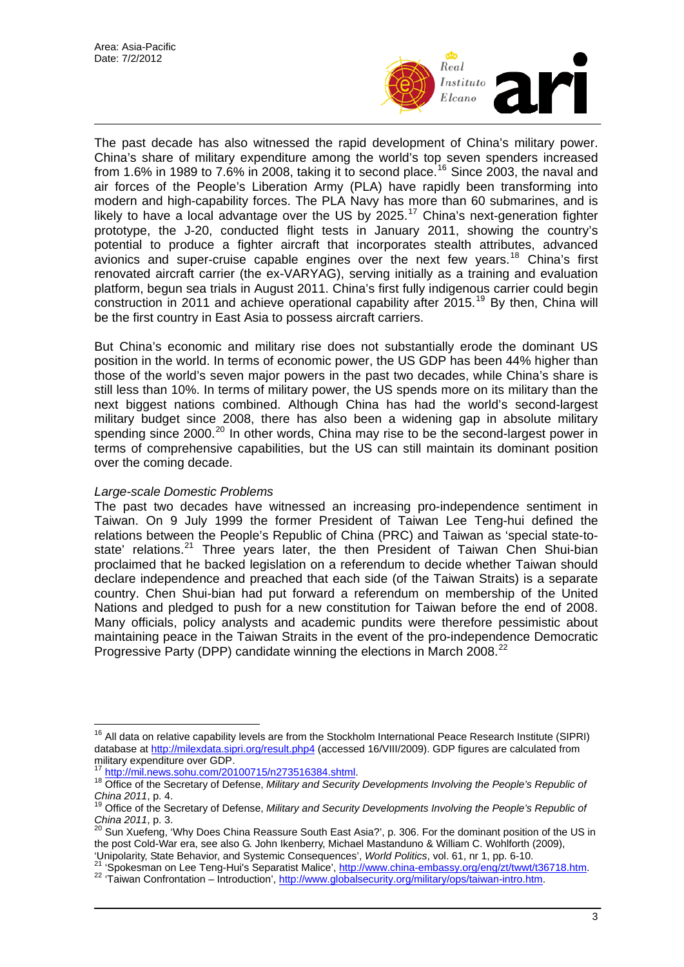

The past decade has also witnessed the rapid development of China's military power. China's share of military expenditure among the world's top seven spenders increased from 1.6% in 1989 to 7.6% in 2008, taking it to second place.<sup>[16](#page-2-0)</sup> Since 2003, the naval and air forces of the People's Liberation Army (PLA) have rapidly been transforming into modern and high-capability forces. The PLA Navy has more than 60 submarines, and is likely to have a local advantage over the US by 2025.<sup>[17](#page-2-1)</sup> China's next-generation fighter prototype, the J-20, conducted flight tests in January 2011, showing the country's potential to produce a fighter aircraft that incorporates stealth attributes, advanced avionics and super-cruise capable engines over the next few years.<sup>[18](#page-2-2)</sup> China's first renovated aircraft carrier (the ex-VARYAG), serving initially as a training and evaluation platform, begun sea trials in August 2011. China's first fully indigenous carrier could begin construction in 2011 and achieve operational capability after 2015.[19](#page-2-3) By then, China will be the first country in East Asia to possess aircraft carriers.

But China's economic and military rise does not substantially erode the dominant US position in the world. In terms of economic power, the US GDP has been 44% higher than those of the world's seven major powers in the past two decades, while China's share is still less than 10%. In terms of military power, the US spends more on its military than the next biggest nations combined. Although China has had the world's second-largest military budget since 2008, there has also been a widening gap in absolute military spending since [20](#page-2-4)00.<sup>20</sup> In other words, China may rise to be the second-largest power in terms of comprehensive capabilities, but the US can still maintain its dominant position over the coming decade.

#### *Large-scale Domestic Problems*

The past two decades have witnessed an increasing pro-independence sentiment in Taiwan. On 9 July 1999 the former President of Taiwan Lee Teng-hui defined the relations between the People's Republic of China (PRC) and Taiwan as 'special state-to-state' relations.<sup>[21](#page-2-5)</sup> Three years later, the then President of Taiwan Chen Shui-bian proclaimed that he backed legislation on a referendum to decide whether Taiwan should declare independence and preached that each side (of the Taiwan Straits) is a separate country. Chen Shui-bian had put forward a referendum on membership of the United Nations and pledged to push for a new constitution for Taiwan before the end of 2008. Many officials, policy analysts and academic pundits were therefore pessimistic about maintaining peace in the Taiwan Straits in the event of the pro-independence Democratic Progressive Party (DPP) candidate winning the elections in March 2008.<sup>[22](#page-2-6)</sup>

<span id="page-2-0"></span> $\overline{a}$ <sup>16</sup> All data on relative capability levels are from the Stockholm International Peace Research Institute (SIPRI) database at [http://milexdata.sipri.org/result.php4](http://milexdata.sipri.org/result.php4.) (accessed 16/VIII/2009). GDP figures are calculated from military expenditure over GDP.<br><sup>17</sup> http://mil.news.sohu.com/20100715/n273516384.shtml.

<span id="page-2-1"></span><sup>&</sup>lt;sup>18</sup> [Office of the Secretary of Defense,](http://mil.news.sohu.com/20100715/n273516384.shtml) *Military and Security Developments Involving the People's Republic of* 

<span id="page-2-3"></span><span id="page-2-2"></span>*China 2011*, p. 4.<br><sup>19</sup> Office of the Secretary of Defense, *Military and Security Developments Involving the People's Republic of*<br>*China 2011*, p. 3.<br><sup>20</sup> Sup Yugfors, <sup>1976</sup> Dess China Bassays, Carriet China 20 Sup 20

<span id="page-2-4"></span>*China 2011*, p. 3. 20 Sun Xuefeng, 'Why Does China Reassure South East Asia?', p. 306. For the dominant position of the US in the post Cold-War era, see also G. John Ikenberry, Michael Mastanduno & William C. Wohlforth (2009), 'Unipolarity, State Behavior, and Systemic Consequences', World Politics, vol. 61, nr 1, pp. 6-10.

<span id="page-2-6"></span><span id="page-2-5"></span><sup>&</sup>lt;sup>21</sup> 'Spokesman on Lee Teng-Hui's Sepa[ratist Malice',](http://www.globalsecurity.org/military/ops/taiwan-intro.htm) [http://www.china-embassy.org/eng/zt/twwt/t36718.htm.](http://www.china-embassy.org/eng/zt/twwt/t36718.htm)<br><sup>21</sup> 'Spokesman on Lee Teng-Hui's Separatist Malice', http://www.china-embassy.org/eng/zt/twwt/t36718.htm.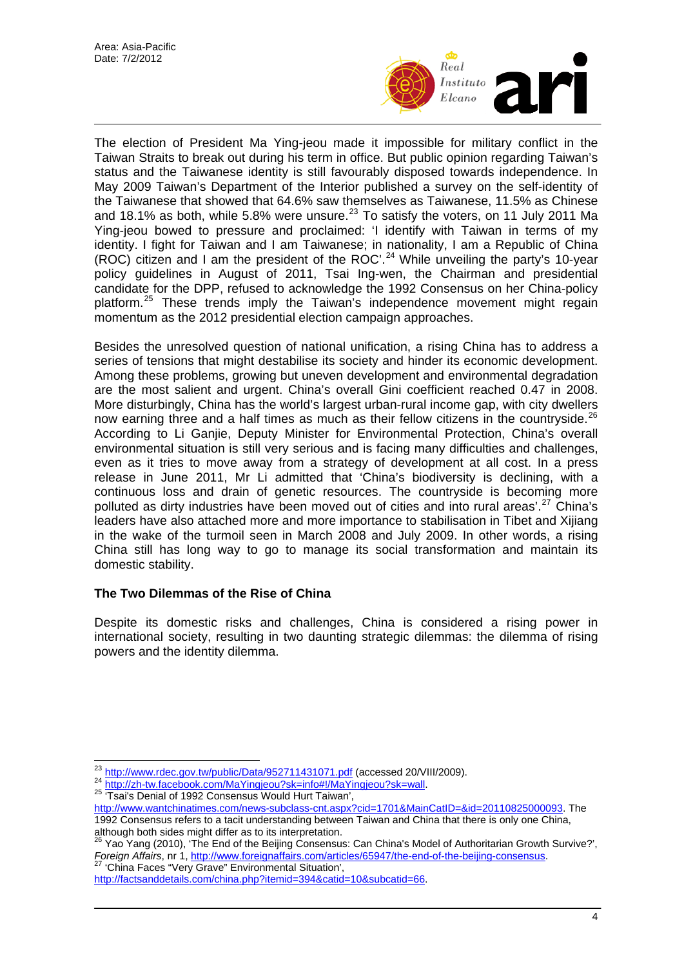

The election of President Ma Ying-jeou made it impossible for military conflict in the Taiwan Straits to break out during his term in office. But public opinion regarding Taiwan's status and the Taiwanese identity is still favourably disposed towards independence. In May 2009 Taiwan's Department of the Interior published a survey on the self-identity of the Taiwanese that showed that 64.6% saw themselves as Taiwanese, 11.5% as Chinese and 18.1% as both, while 5.8% were unsure.<sup>[23](#page-3-0)</sup> To satisfy the voters, on 11 July 2011 Ma Ying-jeou bowed to pressure and proclaimed: 'I identify with Taiwan in terms of my identity. I fight for Taiwan and I am Taiwanese; in nationality, I am a Republic of China (ROC) citizen and I am the president of the ROC'.<sup>[24](#page-3-1)</sup> While unveiling the party's 10-year policy guidelines in August of 2011, Tsai Ing-wen, the Chairman and presidential candidate for the DPP, refused to acknowledge the 1992 Consensus on her China-policy platform.[25](#page-3-2) These trends imply the Taiwan's independence movement might regain momentum as the 2012 presidential election campaign approaches.

Besides the unresolved question of national unification, a rising China has to address a series of tensions that might destabilise its society and hinder its economic development. Among these problems, growing but uneven development and environmental degradation are the most salient and urgent. China's overall Gini coefficient reached 0.47 in 2008. More disturbingly, China has the world's largest urban-rural income gap, with city dwellers now earning three and a half times as much as their fellow citizens in the countryside.<sup>[26](#page-3-3)</sup> According to Li Ganjie, Deputy Minister for Environmental Protection, China's overall environmental situation is still very serious and is facing many difficulties and challenges, even as it tries to move away from a strategy of development at all cost. In a press release in June 2011, Mr Li admitted that 'China's biodiversity is declining, with a continuous loss and drain of genetic resources. The countryside is becoming more polluted as dirty industries have been moved out of cities and into rural areas'.<sup>[27](#page-3-4)</sup> China's leaders have also attached more and more importance to stabilisation in Tibet and Xijiang in the wake of the turmoil seen in March 2008 and July 2009. In other words, a rising China still has long way to go to manage its social transformation and maintain its domestic stability.

# **The Two Dilemmas of the Rise of China**

Despite its domestic risks and challenges, China is considered a rising power in international society, resulting in two daunting strategic dilemmas: the dilemma of rising powers and the identity dilemma.

<span id="page-3-0"></span><sup>&</sup>lt;sup>23</sup> http://www.rdec.gov.tw/public/Data/952711431071.pdf (accessed 20/VIII/2009).

<span id="page-3-1"></span><sup>24</sup> <http://zh-tw.facebook.com/MaYingjeou?sk=info#!/MaYingjeou?sk=wall>.<br><sup>25</sup> 'Tsai's Denial of 1992 Consensus Would Hurt Taiwan',

<span id="page-3-2"></span><http://www.wantchinatimes.com/news-subclass-cnt.aspx?cid=1701&MainCatID=&id=20110825000093>. The 1992 Consensus refers to a tacit understanding between Taiwan and China that there is only one China, although both sides might differ as to its interpretation.<br><sup>26</sup> Yao Yang (2010), 'The End of the Beijing Consensus: Can China's Model of Authoritarian Growth Survive?',

<span id="page-3-3"></span>*Foreign Affairs*, nr 1, [http://www.foreignaffairs.com/articles/65947/the-end-of-the-beijing-consensus.](http://www.foreignaffairs.com/articles/65947/the-end-of-the-beijing-consensus) 27 'China Faces "Very Grave" Environmental Situation',

<span id="page-3-4"></span><http://factsanddetails.com/china.php?itemid=394&catid=10&subcatid=66>.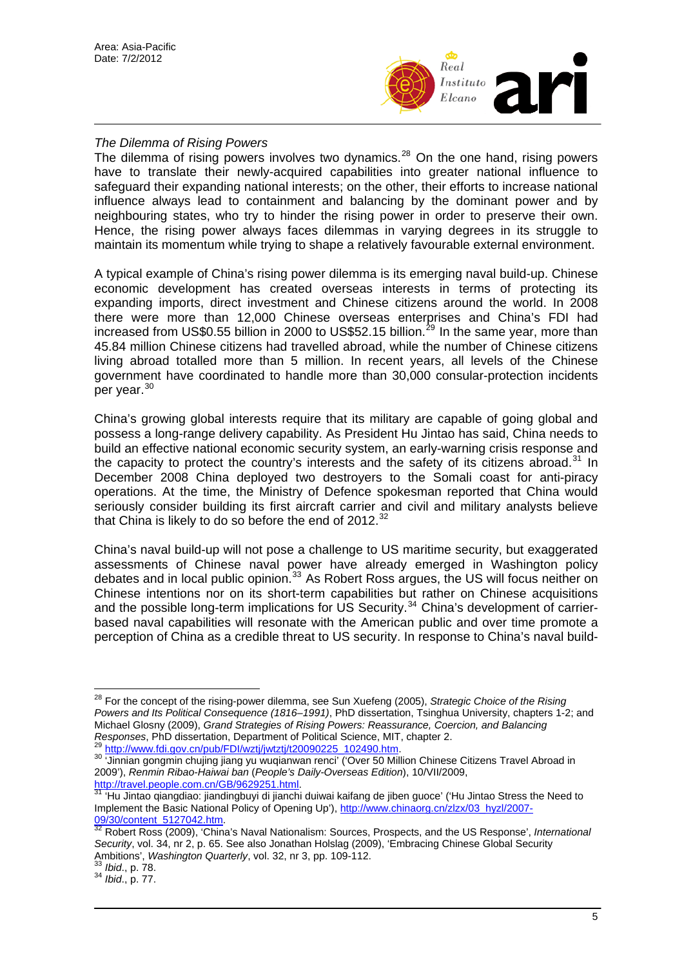

## *The Dilemma of Rising Powers*

The dilemma of rising powers involves two dynamics.<sup>[28](#page-4-0)</sup> On the one hand, rising powers have to translate their newly-acquired capabilities into greater national influence to safeguard their expanding national interests; on the other, their efforts to increase national influence always lead to containment and balancing by the dominant power and by neighbouring states, who try to hinder the rising power in order to preserve their own. Hence, the rising power always faces dilemmas in varying degrees in its struggle to maintain its momentum while trying to shape a relatively favourable external environment.

A typical example of China's rising power dilemma is its emerging naval build-up. Chinese economic development has created overseas interests in terms of protecting its expanding imports, direct investment and Chinese citizens around the world. In 2008 there were more than 12,000 Chinese overseas enterprises and China's FDI had increased from US\$0.55 billion in 2000 to US\$52.15 billion.<sup>[29](#page-4-1)</sup> In the same year, more than 45.84 million Chinese citizens had travelled abroad, while the number of Chinese citizens living abroad totalled more than 5 million. In recent years, all levels of the Chinese government have coordinated to handle more than 30,000 consular-protection incidents per year.<sup>[30](#page-4-2)</sup>

China's growing global interests require that its military are capable of going global and possess a long-range delivery capability. As President Hu Jintao has said, China needs to build an effective national economic security system, an early-warning crisis response and the capacity to protect the country's interests and the safety of its citizens abroad.<sup>[31](#page-4-3)</sup> In December 2008 China deployed two destroyers to the Somali coast for anti-piracy operations. At the time, the Ministry of Defence spokesman reported that China would seriously consider building its first aircraft carrier and civil and military analysts believe that China is likely to do so before the end of  $2012$ .<sup>[32](#page-4-4)</sup>

China's naval build-up will not pose a challenge to US maritime security, but exaggerated assessments of Chinese naval power have already emerged in Washington policy debates and in local public opinion.<sup>[33](#page-4-5)</sup> As Robert Ross argues, the US will focus neither on Chinese intentions nor on its short-term capabilities but rather on Chinese acquisitions and the possible long-term implications for US Security.<sup>[34](#page-4-6)</sup> China's development of carrierbased naval capabilities will resonate with the American public and over time promote a perception of China as a credible threat to US security. In response to China's naval build-

 $\overline{a}$ 

<span id="page-4-0"></span><sup>28</sup> For the concept of the rising-power dilemma, see Sun Xuefeng (2005), *Strategic Choice of the Rising Powers and Its Political Consequence (1816–1991)*, PhD dissertation, Tsinghua University, chapters 1-2; and Michael Glosny (2009), *Grand Strategies of Rising Powers: Reassurance, Coercion, and Balancing Responses, PhD dissertation, Department of Political Science, MIT, chapter 2.* 

<span id="page-4-2"></span><span id="page-4-1"></span><sup>&</sup>lt;sup>29</sup> [http://www.fdi.gov.cn/pub/FDI/wztj/jwtztj/t20090225\\_102490.htm](http://www.fdi.gov.cn/pub/FDI/wztj/jwtztj/t20090225_102490.htm).<br><sup>30</sup> 'Jinnian gongmin chujing jiang yu wuqianwan renci' ('Over 50 Million Chinese Citizens Travel Abroad in 2009'), *Renmin Ribao-Haiwai ban* (*People's Daily-Overseas Edition*), 10/VII/2009,

<span id="page-4-3"></span><http://travel.people.com.cn/GB/9629251.html>.<br>
<sup>[31](http://travel.people.com.cn/GB/9629251.html)</sup> 'Hu Jintao qiangdiao: jiandingbuyi di jianchi duiwai kaifang de jiben guoce' ('Hu Jintao Stress the Need to Implement the Basic National Policy of Opening Up'), [http://www.chinaorg.cn/zlzx/03\\_hyzl/2007-](http://www.chinaorg.cn/zlzx/03_hyzl/2007-09/30/content_5127042.htm)<br>09/30/content\_5127042.htm.<br><sup>32</sup> Robert Ross (2000), 'China's Naual National Content Content Content Content Doss (2000), 'China

<span id="page-4-4"></span>[<sup>09/30/</sup>content\\_5127042.htm](http://www.chinaorg.cn/zlzx/03_hyzl/2007-09/30/content_5127042.htm). [32](http://www.chinaorg.cn/zlzx/03_hyzl/2007-09/30/content_5127042.htm) Robert Ross (2009), 'China's Naval Nationalism: Sources, Prospects, and the US Response', *International Security*, vol. 34, nr 2, p. 65. See also Jonathan Holslag (2009), 'Embracing Chinese Global Security Ambitions', *Washington Quarterly*, vol. 32, nr 3, pp. 109-112. 33 *Ibid*., p. 78. 34 *Ibid*., p. 77.

<span id="page-4-6"></span><span id="page-4-5"></span>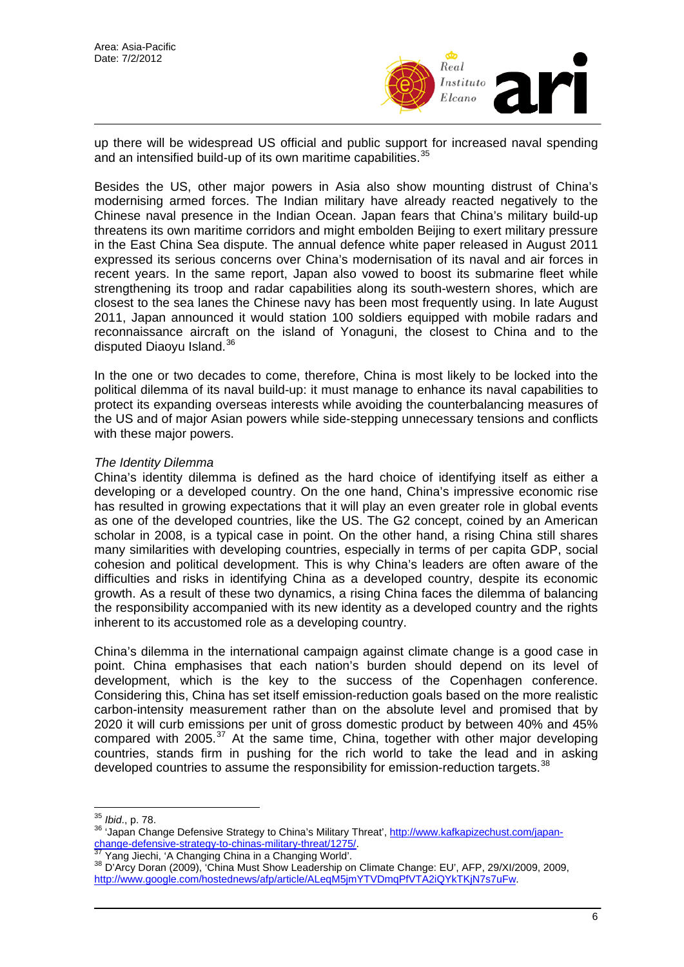

up there will be widespread US official and public support for increased naval spending and an intensified build-up of its own maritime capabilities.<sup>[35](#page-5-0)</sup>

Besides the US, other major powers in Asia also show mounting distrust of China's modernising armed forces. The Indian military have already reacted negatively to the Chinese naval presence in the Indian Ocean. Japan fears that China's military build-up threatens its own maritime corridors and might embolden Beijing to exert military pressure in the East China Sea dispute. The annual defence white paper released in August 2011 expressed its serious concerns over China's modernisation of its naval and air forces in recent years. In the same report, Japan also vowed to boost its submarine fleet while strengthening its troop and radar capabilities along its south-western shores, which are closest to the sea lanes the Chinese navy has been most frequently using. In late August 2011, Japan announced it would station 100 soldiers equipped with mobile radars and reconnaissance aircraft on the island of Yonaguni, the closest to China and to the disputed Diaoyu Island.[36](#page-5-1)

In the one or two decades to come, therefore, China is most likely to be locked into the political dilemma of its naval build-up: it must manage to enhance its naval capabilities to protect its expanding overseas interests while avoiding the counterbalancing measures of the US and of major Asian powers while side-stepping unnecessary tensions and conflicts with these major powers.

#### *The Identity Dilemma*

China's identity dilemma is defined as the hard choice of identifying itself as either a developing or a developed country. On the one hand, China's impressive economic rise has resulted in growing expectations that it will play an even greater role in global events as one of the developed countries, like the US. The G2 concept, coined by an American scholar in 2008, is a typical case in point. On the other hand, a rising China still shares many similarities with developing countries, especially in terms of per capita GDP, social cohesion and political development. This is why China's leaders are often aware of the difficulties and risks in identifying China as a developed country, despite its economic growth. As a result of these two dynamics, a rising China faces the dilemma of balancing the responsibility accompanied with its new identity as a developed country and the rights inherent to its accustomed role as a developing country.

China's dilemma in the international campaign against climate change is a good case in point. China emphasises that each nation's burden should depend on its level of development, which is the key to the success of the Copenhagen conference. Considering this, China has set itself emission-reduction goals based on the more realistic carbon-intensity measurement rather than on the absolute level and promised that by 2020 it will curb emissions per unit of gross domestic product by between 40% and 45% compared with 2005.<sup>[37](#page-5-2)</sup> At the same time, China, together with other major developing countries, stands firm in pushing for the rich world to take the lead and in asking developed countries to assume the responsibility for emission-reduction targets.<sup>[38](#page-5-3)</sup>

<span id="page-5-0"></span><sup>&</sup>lt;sup>35</sup> Ibid., p. 78.

<span id="page-5-1"></span><sup>&</sup>lt;sup>36</sup> 'Japan Change Defensive Strategy to China's Military Threat', http://www.kafkapizechust.com/japan-<br>change-defensive-strategy-to-chinas-military-threat/1275/.<br><sup>37</sup> Yang Jiechi, 'A Changing China in a Changing World'.

<span id="page-5-3"></span><span id="page-5-2"></span><sup>&</sup>lt;sup>38</sup> D'Arcy Doran (2009), 'China Must Show Leadership on Climate Change: EU', AFP, 29/XI/2009, 2009, <http://www.google.com/hostednews/afp/article/ALeqM5jmYTVDmqPfVTA2iQYkTKjN7s7uFw>.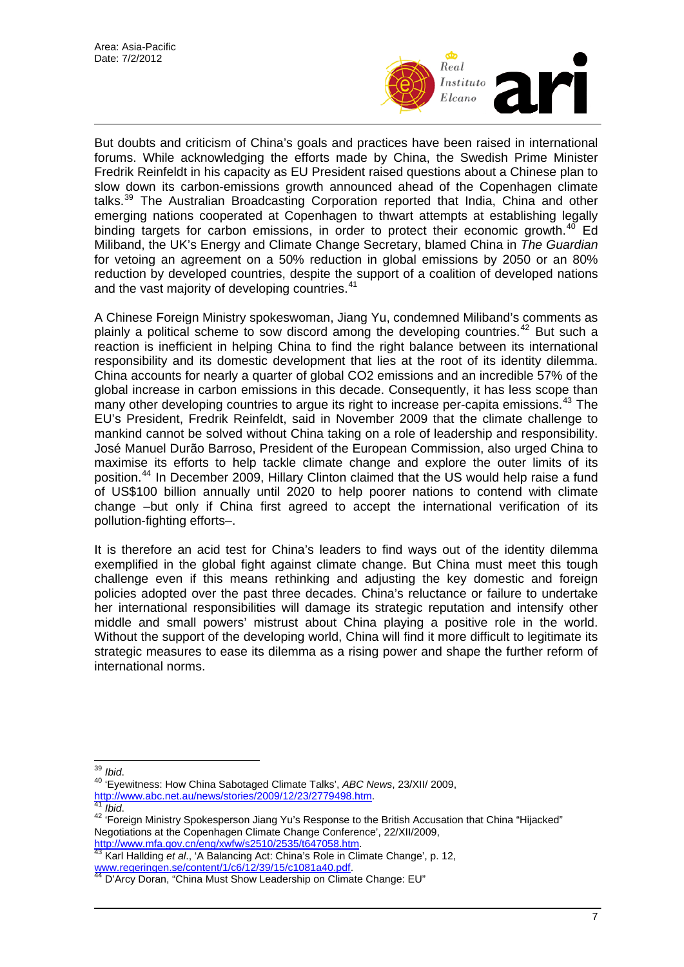

But doubts and criticism of China's goals and practices have been raised in international forums. While acknowledging the efforts made by China, the Swedish Prime Minister Fredrik Reinfeldt in his capacity as EU President raised questions about a Chinese plan to slow down its carbon-emissions growth announced ahead of the Copenhagen climate talks.[39](#page-6-0) The Australian Broadcasting Corporation reported that India, China and other emerging nations cooperated at Copenhagen to thwart attempts at establishing legally binding targets for carbon emissions, in order to protect their economic growth.<sup>[40](#page-6-1)</sup> Ed Miliband, the UK's Energy and Climate Change Secretary, blamed China in *The Guardian* for vetoing an agreement on a 50% reduction in global emissions by 2050 or an 80% reduction by developed countries, despite the support of a coalition of developed nations and the vast majority of developing countries.<sup>[41](#page-6-2)</sup>

A Chinese Foreign Ministry spokeswoman, Jiang Yu, condemned Miliband's comments as plainly a political scheme to sow discord among the developing countries.<sup>[42](#page-6-3)</sup> But such a reaction is inefficient in helping China to find the right balance between its international responsibility and its domestic development that lies at the root of its identity dilemma. China accounts for nearly a quarter of global CO2 emissions and an incredible 57% of the global increase in carbon emissions in this decade. Consequently, it has less scope than many other developing countries to argue its right to increase per-capita emissions.<sup>[43](#page-6-4)</sup> The EU's President, Fredrik Reinfeldt, said in November 2009 that the climate challenge to mankind cannot be solved without China taking on a role of leadership and responsibility. José Manuel Durão Barroso, President of the European Commission, also urged China to maximise its efforts to help tackle climate change and explore the outer limits of its position.[44](#page-6-5) In December 2009, Hillary Clinton claimed that the US would help raise a fund of US\$100 billion annually until 2020 to help poorer nations to contend with climate change –but only if China first agreed to accept the international verification of its pollution-fighting efforts–.

It is therefore an acid test for China's leaders to find ways out of the identity dilemma exemplified in the global fight against climate change. But China must meet this tough challenge even if this means rethinking and adjusting the key domestic and foreign policies adopted over the past three decades. China's reluctance or failure to undertake her international responsibilities will damage its strategic reputation and intensify other middle and small powers' mistrust about China playing a positive role in the world. Without the support of the developing world, China will find it more difficult to legitimate its strategic measures to ease its dilemma as a rising power and shape the further reform of international norms.

<span id="page-6-4"></span>[http://www.mfa.gov.cn/eng/xwfw/s2510/2535/t647058.htm.](http://www.mfa.gov.cn/eng/xwfw/s2510/2535/t647058.htm) [43](http://www.mfa.gov.cn/eng/xwfw/s2510/2535/t647058.htm) Karl Hallding *et al*., 'A Balancing Act: China's Role in Climate Change', p. 12, ווי שוטרו פי הווחוס ווי או של היה היהודים את של [www.regeringen.se/content/1/c6/12/39/15/c1081a40.pdf](http://www.regeringen.se/content/1/c6/12/39/15/c1081a40.pdf).<br><sup>44</sup> D'Arcy Doran, "China Must Show Leadership on Climate Change: EU"

<span id="page-6-0"></span> $39$  Ibid.

<span id="page-6-1"></span><sup>&</sup>lt;sup>40</sup> 'Eyewitness: How China Sabotaged Climate Talks', *ABC News*, 23/XII/ 2009,<br>http://www.abc.net.au/news/stories/2009/12/23/2779498.htm.

<span id="page-6-3"></span><span id="page-6-2"></span><sup>&</sup>lt;sup>[41](http://www.abc.net.au/news/stories/2009/12/23/2779498.htm)</sup> Ibid.<br><sup>42</sup> 'Foreign Ministry Spokesperson Jiang Yu's Response to the British Accusation that China "Hijacked" Negotiations at the Copenhagen Climate Change Conference', 22/XII/2009,

<span id="page-6-5"></span>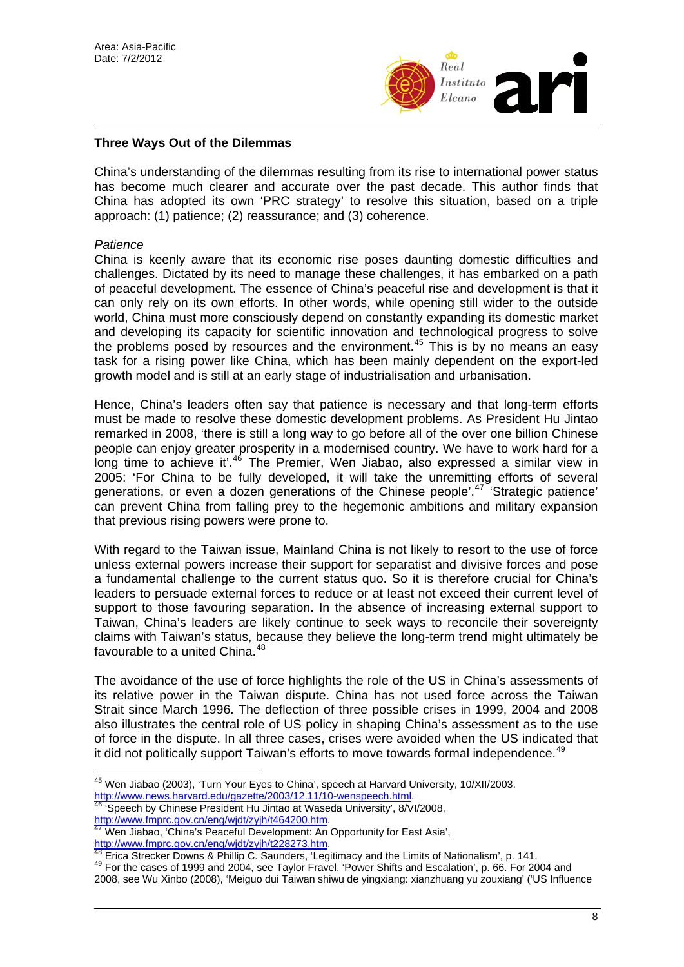

## **Three Ways Out of the Dilemmas**

China's understanding of the dilemmas resulting from its rise to international power status has become much clearer and accurate over the past decade. This author finds that China has adopted its own 'PRC strategy' to resolve this situation, based on a triple approach: (1) patience; (2) reassurance; and (3) coherence.

#### *Patience*

China is keenly aware that its economic rise poses daunting domestic difficulties and challenges. Dictated by its need to manage these challenges, it has embarked on a path of peaceful development. The essence of China's peaceful rise and development is that it can only rely on its own efforts. In other words, while opening still wider to the outside world, China must more consciously depend on constantly expanding its domestic market and developing its capacity for scientific innovation and technological progress to solve the problems posed by resources and the environment.<sup>[45](#page-7-0)</sup> This is by no means an easy task for a rising power like China, which has been mainly dependent on the export-led growth model and is still at an early stage of industrialisation and urbanisation.

Hence, China's leaders often say that patience is necessary and that long-term efforts must be made to resolve these domestic development problems. As President Hu Jintao remarked in 2008, 'there is still a long way to go before all of the over one billion Chinese people can enjoy greater prosperity in a modernised country. We have to work hard for a long time to achieve it'.<sup>[46](#page-7-1)</sup> The Premier, Wen Jiabao, also expressed a similar view in 2005: 'For China to be fully developed, it will take the unremitting efforts of several generations, or even a dozen generations of the Chinese people'.<sup>[47](#page-7-2)</sup> 'Strategic patience' can prevent China from falling prey to the hegemonic ambitions and military expansion that previous rising powers were prone to.

With regard to the Taiwan issue, Mainland China is not likely to resort to the use of force unless external powers increase their support for separatist and divisive forces and pose a fundamental challenge to the current status quo. So it is therefore crucial for China's leaders to persuade external forces to reduce or at least not exceed their current level of support to those favouring separation. In the absence of increasing external support to Taiwan, China's leaders are likely continue to seek ways to reconcile their sovereignty claims with Taiwan's status, because they believe the long-term trend might ultimately be favourable to a united China.<sup>[48](#page-7-3)</sup>

The avoidance of the use of force highlights the role of the US in China's assessments of its relative power in the Taiwan dispute. China has not used force across the Taiwan Strait since March 1996. The deflection of three possible crises in 1999, 2004 and 2008 also illustrates the central role of US policy in shaping China's assessment as to the use of force in the dispute. In all three cases, crises were avoided when the US indicated that it did not politically support Taiwan's efforts to move towards formal independence.<sup>[49](#page-7-4)</sup>

 $\overline{\phantom{a}}$ <sup>45</sup> Wen Jiabao (2003), 'Turn Your Eyes to China', speech at Harvard University, 10/XII/2003.

<span id="page-7-1"></span><span id="page-7-0"></span><http://www.news.harvard.edu/gazette/2003/12.11/10-wenspeech.html>.<br><sup>[46](http://www.news.harvard.edu/gazette/2003/12.11/10-wenspeech.html)</sup> 'Speech by Chinese President Hu Jintao at Waseda University', 8/VI/2008,<br>http://www.fmprc.gov.cn/eng/wjdt/zyjh/t464200.htm.

Wen Jiabao. 'China's Peaceful Development: An Opportunity for East Asia',

<span id="page-7-3"></span><span id="page-7-2"></span><http://www.fmprc.gov.cn/eng/wjdt/zyjh/t228273.htm>.<br><sup>[48](http://www.fmprc.gov.cn/eng/wjdt/zyjh/t228273.htm)</sup> Erica Strecker Downs & Phillip C. Saunders, 'Legitimacy and the Limits of Nationalism', p. 141.<br><sup>49</sup> For the cases of 1999 and 2004, see Taylor Fravel, 'Power Shifts

<span id="page-7-4"></span><sup>2008,</sup> see Wu Xinbo (2008), 'Meiguo dui Taiwan shiwu de yingxiang: xianzhuang yu zouxiang' ('US Influence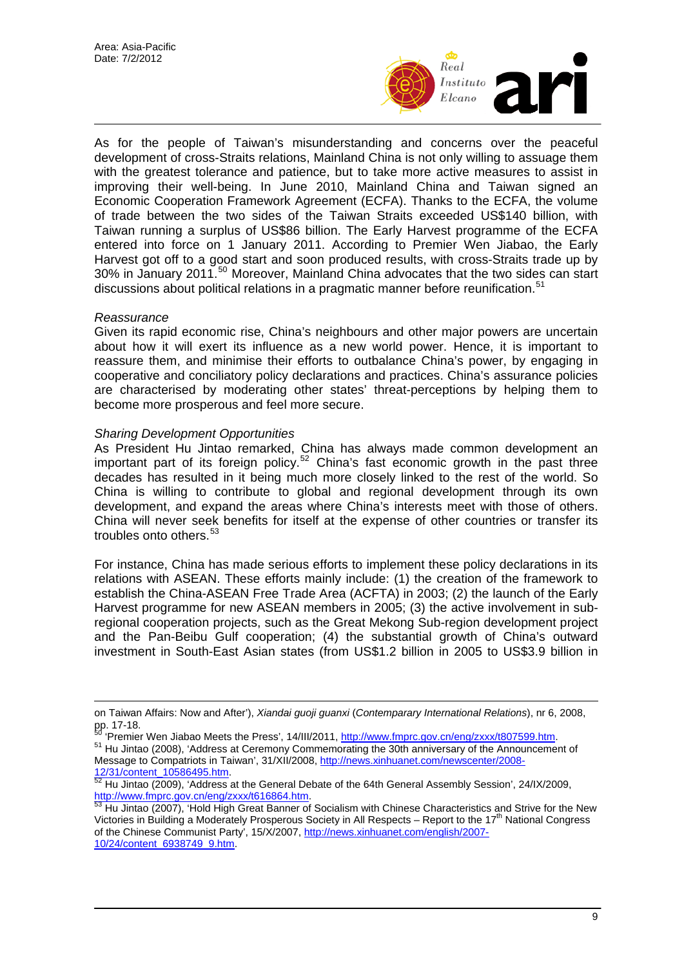

As for the people of Taiwan's misunderstanding and concerns over the peaceful development of cross-Straits relations, Mainland China is not only willing to assuage them with the greatest tolerance and patience, but to take more active measures to assist in improving their well-being. In June 2010, Mainland China and Taiwan signed an Economic Cooperation Framework Agreement (ECFA). Thanks to the ECFA, the volume of trade between the two sides of the Taiwan Straits exceeded US\$140 billion, with Taiwan running a surplus of US\$86 billion. The Early Harvest programme of the ECFA entered into force on 1 January 2011. According to Premier Wen Jiabao, the Early Harvest got off to a good start and soon produced results, with cross-Straits trade up by 30% in January 2011.[50](#page-8-0) Moreover, Mainland China advocates that the two sides can start discussions about political relations in a pragmatic manner before reunification.<sup>[51](#page-8-1)</sup>

#### *Reassurance*

 $\overline{a}$ 

Given its rapid economic rise, China's neighbours and other major powers are uncertain about how it will exert its influence as a new world power. Hence, it is important to reassure them, and minimise their efforts to outbalance China's power, by engaging in cooperative and conciliatory policy declarations and practices. China's assurance policies are characterised by moderating other states' threat-perceptions by helping them to become more prosperous and feel more secure.

#### *Sharing Development Opportunities*

As President Hu Jintao remarked, China has always made common development an important part of its foreign policy.<sup>[52](#page-8-2)</sup> China's fast economic growth in the past three decades has resulted in it being much more closely linked to the rest of the world. So China is willing to contribute to global and regional development through its own development, and expand the areas where China's interests meet with those of others. China will never seek benefits for itself at the expense of other countries or transfer its troubles onto others.<sup>[53](#page-8-3)</sup>

For instance, China has made serious efforts to implement these policy declarations in its relations with ASEAN. These efforts mainly include: (1) the creation of the framework to establish the China-ASEAN Free Trade Area (ACFTA) in 2003; (2) the launch of the Early Harvest programme for new ASEAN members in 2005; (3) the active involvement in subregional cooperation projects, such as the Great Mekong Sub-region development project and the Pan-Beibu Gulf cooperation; (4) the substantial growth of China's outward investment in South-East Asian states (from US\$1.2 billion in 2005 to US\$3.9 billion in

on Taiwan Affairs: Now and After'), *Xiandai guoji guanxi* (*Contemparary International Relations*), nr 6, 2008, pp. 17-18.<br><sup>50</sup> Premier Wen Jiabao Meets the Press', 14/III/2011, http://www.fmprc.gov.cn/eng/zxxx/t807599.htm.

<span id="page-8-1"></span><span id="page-8-0"></span><sup>51</sup> Hu Jintao (2008), 'Address at Ceremony Commem[orating the 30th anniversary of the Announceme](http://www.fmprc.gov.cn/eng/zxxx/t807599.htm)nt of Message to Compatriots in Taiwan', 31/XII/2008, [http://news.xinhuanet.com/newscenter/2008-](http://news.xinhuanet.com/newscenter/2008-12/31/content_10586495.htm)

<span id="page-8-2"></span>[<sup>12/31/</sup>content\\_10586495.htm](http://news.xinhuanet.com/newscenter/2008-12/31/content_10586495.htm).<br><sup>52</sup> Hu Jintao (2009), 'Address at the General Debate of the 64th General Assembly Session', 24/IX/2009,<br>http://www.fmprc.gov.cn/eng/zxxx/t616864.htm.

<span id="page-8-3"></span>Hu Jintao (2007), 'Hold High Great Banner of Socialism with Chinese Characteristics and Strive for the New Victories in Building a Moderately Prosperous Society in All Respects – Report to the  $17<sup>th</sup>$  National Congress of the Chinese Communist Party', 15/X/2007, [http://news.xinhuanet.com/english/2007-](http://news.xinhuanet.com/english/2007-10/24/content_6938749_9.htm) [10/24/content\\_6938749\\_9.htm](http://news.xinhuanet.com/english/2007-10/24/content_6938749_9.htm).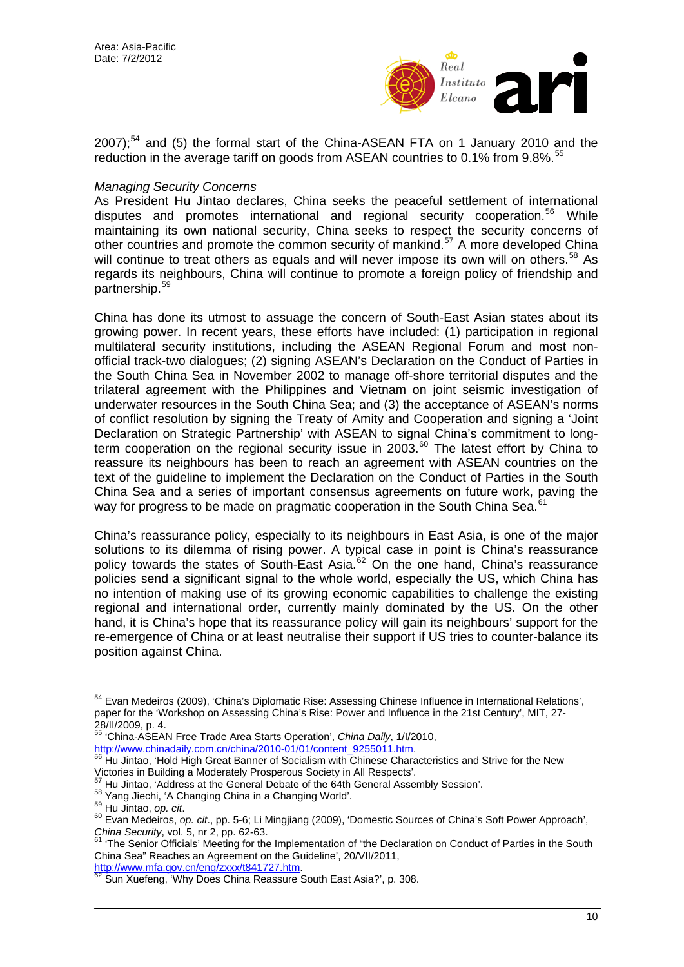

2007);<sup>[54](#page-9-0)</sup> and (5) the formal start of the China-ASEAN FTA on 1 January 2010 and the reduction in the average tariff on goods from ASEAN countries to 0.1% from 9.8%.<sup>[55](#page-9-1)</sup>

## *Managing Security Concerns*

As President Hu Jintao declares, China seeks the peaceful settlement of international disputes and promotes international and regional security cooperation.<sup>[56](#page-9-2)</sup> While maintaining its own national security, China seeks to respect the security concerns of other countries and promote the common security of mankind.[57](#page-9-3) A more developed China will continue to treat others as equals and will never impose its own will on others.<sup>[58](#page-9-4)</sup> As regards its neighbours, China will continue to promote a foreign policy of friendship and partnership.[59](#page-9-5)

China has done its utmost to assuage the concern of South-East Asian states about its growing power. In recent years, these efforts have included: (1) participation in regional multilateral security institutions, including the ASEAN Regional Forum and most nonofficial track-two dialogues; (2) signing ASEAN's Declaration on the Conduct of Parties in the South China Sea in November 2002 to manage off-shore territorial disputes and the trilateral agreement with the Philippines and Vietnam on joint seismic investigation of underwater resources in the South China Sea; and (3) the acceptance of ASEAN's norms of conflict resolution by signing the Treaty of Amity and Cooperation and signing a 'Joint Declaration on Strategic Partnership' with ASEAN to signal China's commitment to longterm cooperation on the regional security issue in  $2003$ .<sup>[60](#page-9-6)</sup> The latest effort by China to reassure its neighbours has been to reach an agreement with ASEAN countries on the text of the guideline to implement the Declaration on the Conduct of Parties in the South China Sea and a series of important consensus agreements on future work, paving the way for progress to be made on pragmatic cooperation in the South China Sea.<sup>6</sup>

China's reassurance policy, especially to its neighbours in East Asia, is one of the major solutions to its dilemma of rising power. A typical case in point is China's reassurance policy towards the states of South-East Asia.<sup>[62](#page-9-8)</sup> On the one hand, China's reassurance policies send a significant signal to the whole world, especially the US, which China has no intention of making use of its growing economic capabilities to challenge the existing regional and international order, currently mainly dominated by the US. On the other hand, it is China's hope that its reassurance policy will gain its neighbours' support for the re-emergence of China or at least neutralise their support if US tries to counter-balance its position against China.

<span id="page-9-1"></span>55 'China-ASEAN Free Trade Area Starts Operation', *China Daily*, 1/I/2010, [http://www.chinadaily.com.cn/china/2010-01/01/content\\_9255011.htm.](http://www.chinadaily.com.cn/china/2010-01/01/content_9255011.htm) [56](http://www.chinadaily.com.cn/china/2010-01/01/content_9255011.htm) Hu Jintao, 'Hold High Great Banner of Socialism with Chinese Characteristics and Strive for the New

<span id="page-9-3"></span>

<span id="page-9-8"></span>

<span id="page-9-0"></span> $\overline{a}$ <sup>54</sup> Evan Medeiros (2009), 'China's Diplomatic Rise: Assessing Chinese Influence in International Relations', paper for the 'Workshop on Assessing China's Rise: Power and Influence in the 21st Century', MIT, 27- 28/II/2009, p. 4.

<span id="page-9-2"></span>Victories in Building a Moderately Prosperous Society in All Respects'.<br><sup>57</sup> Hu Jintao, 'Address at the General Debate of the 64th General Assembly Session'.

<span id="page-9-6"></span><span id="page-9-5"></span>

<span id="page-9-4"></span><sup>&</sup>lt;sup>58</sup> Yang Jiechi, 'A Changing China in a Changing World'.<br><sup>59</sup> Hu Jintao, *op. cit.*<br><sup>60</sup> Evan Medeiros, *op. cit.*, pp. 5-6; Li Mingjiang (2009), 'Domestic Sources of China's Soft Power Approach', *China Security*, vol. 5, nr 2, pp. 62-63.<br>
<sup>61</sup> 'The Senior Officials' Meeting for the Implementation of "the Declaration on Conduct of Parties in the South

<span id="page-9-7"></span>China Sea" Reaches an Agreement on the Guideline', 20/VII/2011,

<http://www.mfa.gov.cn/eng/zxxx/t841727.htm>.<br><sup>62</sup> Sun Xuefeng, 'Why Does China Reassure South East Asia?', p. 308.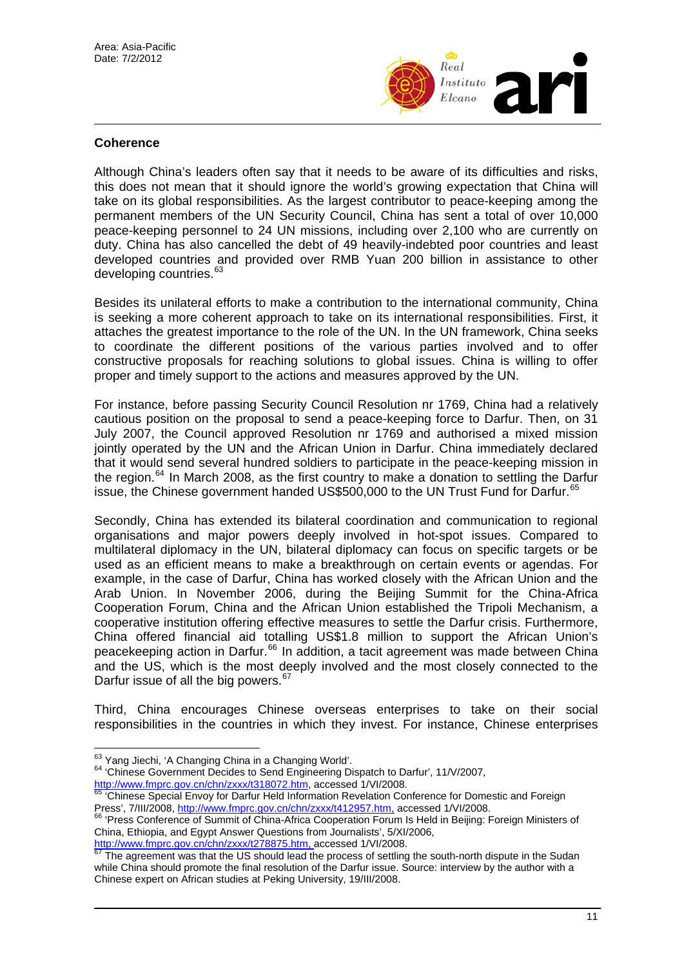

#### **Coherence**

Although China's leaders often say that it needs to be aware of its difficulties and risks, this does not mean that it should ignore the world's growing expectation that China will take on its global responsibilities. As the largest contributor to peace-keeping among the permanent members of the UN Security Council, China has sent a total of over 10,000 peace-keeping personnel to 24 UN missions, including over 2,100 who are currently on duty. China has also cancelled the debt of 49 heavily-indebted poor countries and least developed countries and provided over RMB Yuan 200 billion in assistance to other developing countries.<sup>[63](#page-10-0)</sup>

Besides its unilateral efforts to make a contribution to the international community, China is seeking a more coherent approach to take on its international responsibilities. First, it attaches the greatest importance to the role of the UN. In the UN framework, China seeks to coordinate the different positions of the various parties involved and to offer constructive proposals for reaching solutions to global issues. China is willing to offer proper and timely support to the actions and measures approved by the UN.

For instance, before passing Security Council Resolution nr 1769, China had a relatively cautious position on the proposal to send a peace-keeping force to Darfur. Then, on 31 July 2007, the Council approved Resolution nr 1769 and authorised a mixed mission jointly operated by the UN and the African Union in Darfur. China immediately declared that it would send several hundred soldiers to participate in the peace-keeping mission in the region.<sup>[64](#page-10-1)</sup> In March 2008, as the first country to make a donation to settling the Darfur issue, the Chinese government handed US\$500,000 to the UN Trust Fund for Darfur.<sup>[65](#page-10-2)</sup>

Secondly, China has extended its bilateral coordination and communication to regional organisations and major powers deeply involved in hot-spot issues. Compared to multilateral diplomacy in the UN, bilateral diplomacy can focus on specific targets or be used as an efficient means to make a breakthrough on certain events or agendas. For example, in the case of Darfur, China has worked closely with the African Union and the Arab Union. In November 2006, during the Beijing Summit for the China-Africa Cooperation Forum, China and the African Union established the Tripoli Mechanism, a cooperative institution offering effective measures to settle the Darfur crisis. Furthermore, China offered financial aid totalling US\$1.8 million to support the African Union's peacekeeping action in Darfur.[66](#page-10-3) In addition, a tacit agreement was made between China and the US, which is the most deeply involved and the most closely connected to the Darfur issue of all the big powers.<sup>[67](#page-10-4)</sup>

Third, China encourages Chinese overseas enterprises to take on their social responsibilities in the countries in which they invest. For instance, Chinese enterprises

<span id="page-10-0"></span><sup>63</sup> Yang Jiechi, 'A Changing China in a Changing World'.

<span id="page-10-1"></span><sup>64 &#</sup>x27;Chinese Government Decides to Send Engineering Dispatch to Darfur', 11/V/2007,

<span id="page-10-2"></span><http://www.fmprc.gov.cn/chn/zxxx/t318072.htm>, accessed 1/VI/2008.<br>
<sup>[65](http://www.fmprc.gov.cn/chn/zxxx/t318072.htm)</sup> 'Chinese Special Envoy for Darfur Held Information Revelation Conference for Domestic and Foreign<br>
Press', 7/III/2008, http://www.fmprc.gov.cn/chn/zxx

<span id="page-10-3"></span><sup>66 &#</sup>x27;Press Confere[nce of Summit of China-Africa Cooperation Foru](http://www.fmprc.gov.cn/chn/zxxx/t412957.htm)m Is Held in Beijing: Foreign Ministers of China, Ethiopia, and Egypt Answer Questions from Journalists', 5/XI/2006,<br>http://www.fmprc.gov.cn/chn/zxxx/t278875.htm, accessed 1/VI/2008.

<span id="page-10-4"></span>The agreement was that the US should lead the process of settling the south-north dispute in the Sudan while China should promote the final resolution of the Darfur issue. Source: interview by the author with a Chinese expert on African studies at Peking University, 19/III/2008.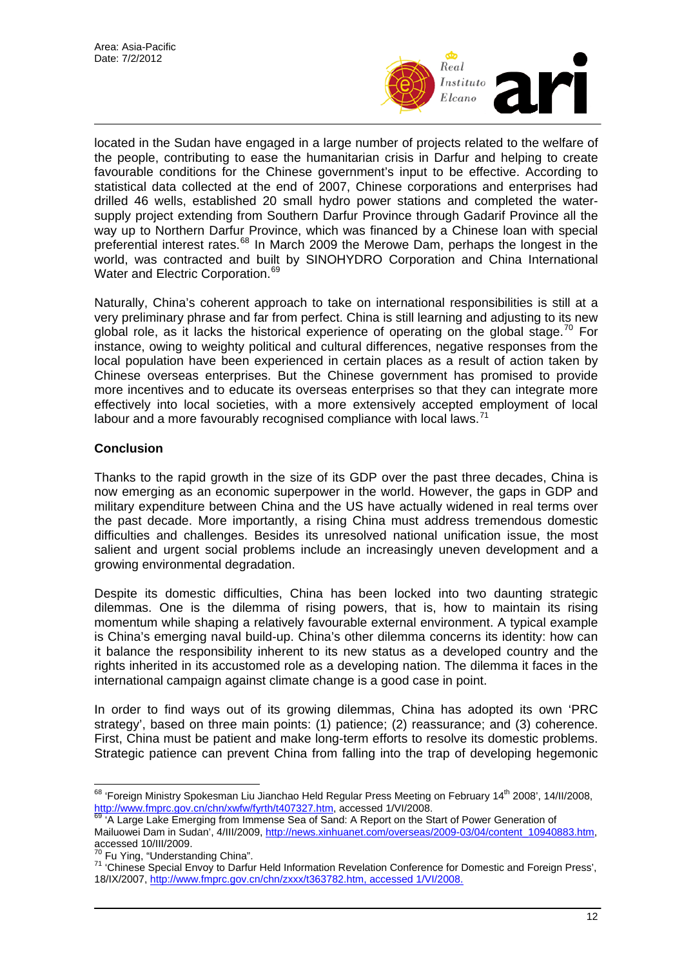

located in the Sudan have engaged in a large number of projects related to the welfare of the people, contributing to ease the humanitarian crisis in Darfur and helping to create favourable conditions for the Chinese government's input to be effective. According to statistical data collected at the end of 2007, Chinese corporations and enterprises had drilled 46 wells, established 20 small hydro power stations and completed the watersupply project extending from Southern Darfur Province through Gadarif Province all the way up to Northern Darfur Province, which was financed by a Chinese loan with special preferential interest rates.<sup>[68](#page-11-0)</sup> In March 2009 the Merowe Dam, perhaps the longest in the world, was contracted and built by SINOHYDRO Corporation and China International Water and Electric Corporation.<sup>[69](#page-11-1)</sup>

Naturally, China's coherent approach to take on international responsibilities is still at a very preliminary phrase and far from perfect. China is still learning and adjusting to its new global role, as it lacks the historical experience of operating on the global stage.<sup>[70](#page-11-2)</sup> For instance, owing to weighty political and cultural differences, negative responses from the local population have been experienced in certain places as a result of action taken by Chinese overseas enterprises. But the Chinese government has promised to provide more incentives and to educate its overseas enterprises so that they can integrate more effectively into local societies, with a more extensively accepted employment of local labour and a more favourably recognised compliance with local laws.<sup>[71](#page-11-3)</sup>

## **Conclusion**

Thanks to the rapid growth in the size of its GDP over the past three decades, China is now emerging as an economic superpower in the world. However, the gaps in GDP and military expenditure between China and the US have actually widened in real terms over the past decade. More importantly, a rising China must address tremendous domestic difficulties and challenges. Besides its unresolved national unification issue, the most salient and urgent social problems include an increasingly uneven development and a growing environmental degradation.

Despite its domestic difficulties, China has been locked into two daunting strategic dilemmas. One is the dilemma of rising powers, that is, how to maintain its rising momentum while shaping a relatively favourable external environment. A typical example is China's emerging naval build-up. China's other dilemma concerns its identity: how can it balance the responsibility inherent to its new status as a developed country and the rights inherited in its accustomed role as a developing nation. The dilemma it faces in the international campaign against climate change is a good case in point.

In order to find ways out of its growing dilemmas, China has adopted its own 'PRC strategy', based on three main points: (1) patience; (2) reassurance; and (3) coherence. First, China must be patient and make long-term efforts to resolve its domestic problems. Strategic patience can prevent China from falling into the trap of developing hegemonic

<span id="page-11-0"></span> $\overline{a}$ <sup>68</sup> 'Foreign Ministry Spokesman Liu Jianchao Held Regular Press Meeting on February 14<sup>th</sup> 2008', 14/II/2008, <http://www.fmprc.gov.cn/chn/xwfw/fyrth/t407327.htm>, accessed 1/VI/2008.<br><sup>69</sup> 'A Large Lake Emerging from Immense Sea of Sand: A Report on the Start of Power Generation of

<span id="page-11-1"></span>Mailuowei Dam in Sudan', 4/III/2009, [http://news.xinhuanet.com/overseas/2009-03/04/content\\_10940883.htm](http://news.xinhuanet.com/overseas/2009-03/04/content_10940883.htm), accessed 10/III/2009.<br><sup>70</sup> Fu Ying, "Understanding China".

<span id="page-11-3"></span><span id="page-11-2"></span><sup>&</sup>lt;sup>71</sup> 'Chinese Special Envoy to Darfur Held Information Revelation Conference for Domestic and Foreign Press', 18/IX/2007, [http://www.fmprc.gov.cn/chn/zxxx/t363782.htm,](http://www.fmprc.gov.cn/chn/zxxx/t363782.htm) accessed 1/VI/2008.